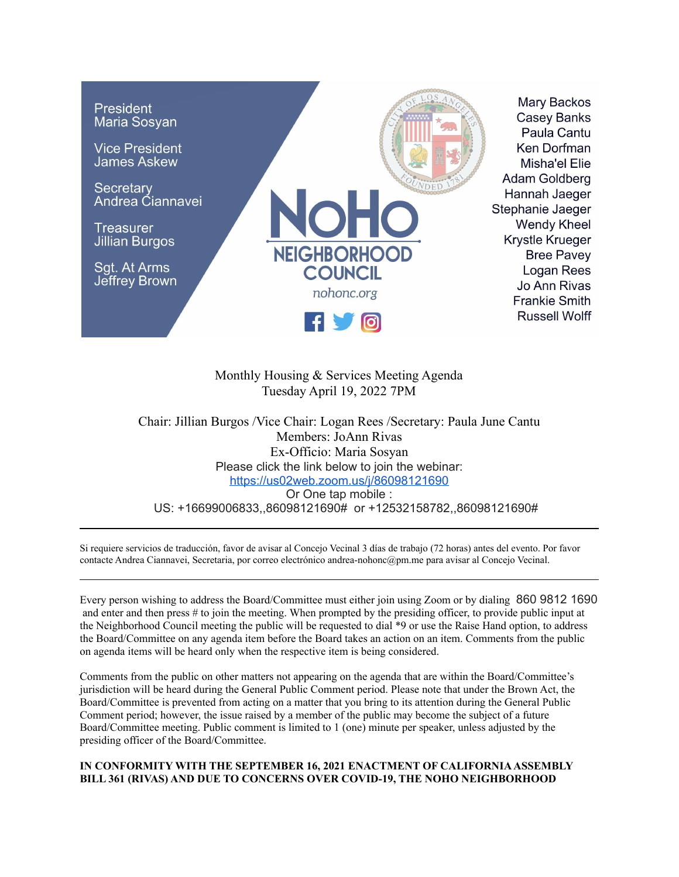

# Monthly Housing & Services Meeting Agenda Tuesday April 19, 2022 7PM

Chair: Jillian Burgos /Vice Chair: Logan Rees /Secretary: Paula June Cantu Members: JoAnn Rivas Ex-Officio: Maria Sosyan Please click the link below to join the webinar: <https://us02web.zoom.us/j/86098121690> Or One tap mobile : US: +16699006833,,86098121690# or +12532158782,,86098121690#

Si requiere servicios de traducción, favor de avisar al Concejo Vecinal 3 días de trabajo (72 horas) antes del evento. Por favor contacte Andrea Ciannavei, Secretaria, por correo electrónico andrea-nohonc@pm.me para avisar al Concejo Vecinal.

Every person wishing to address the Board/Committee must either join using Zoom or by dialing 860 9812 1690 and enter and then press # to join the meeting. When prompted by the presiding officer, to provide public input at the Neighborhood Council meeting the public will be requested to dial \*9 or use the Raise Hand option, to address the Board/Committee on any agenda item before the Board takes an action on an item. Comments from the public on agenda items will be heard only when the respective item is being considered.

Comments from the public on other matters not appearing on the agenda that are within the Board/Committee's jurisdiction will be heard during the General Public Comment period. Please note that under the Brown Act, the Board/Committee is prevented from acting on a matter that you bring to its attention during the General Public Comment period; however, the issue raised by a member of the public may become the subject of a future Board/Committee meeting. Public comment is limited to 1 (one) minute per speaker, unless adjusted by the presiding officer of the Board/Committee.

#### **IN CONFORMITY WITH THE SEPTEMBER 16, 2021 ENACTMENT OF CALIFORNIAASSEMBLY BILL 361 (RIVAS) AND DUE TO CONCERNS OVER COVID-19, THE NOHO NEIGHBORHOOD**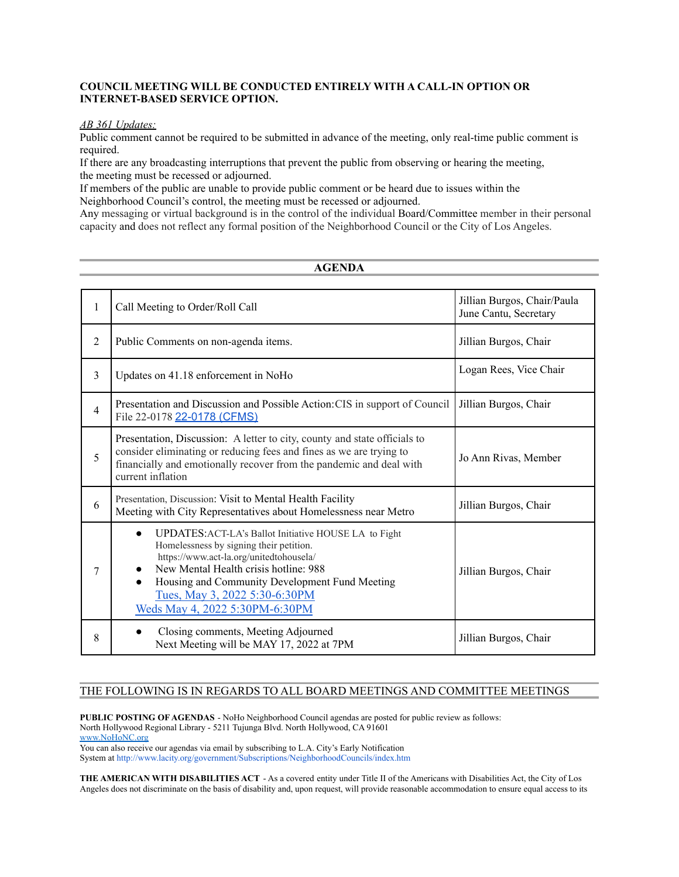## **COUNCIL MEETING WILL BE CONDUCTED ENTIRELY WITH A CALL-IN OPTION OR INTERNET-BASED SERVICE OPTION.**

#### *AB 361 Updates:*

Public comment cannot be required to be submitted in advance of the meeting, only real-time public comment is required.

If there are any broadcasting interruptions that prevent the public from observing or hearing the meeting, the meeting must be recessed or adjourned.

If members of the public are unable to provide public comment or be heard due to issues within the Neighborhood Council's control, the meeting must be recessed or adjourned.

Any messaging or virtual background is in the control of the individual Board/Committee member in their personal capacity and does not reflect any formal position of the Neighborhood Council or the City of Los Angeles.

### **AGENDA**

| 1              | Call Meeting to Order/Roll Call                                                                                                                                                                                                                                                                                               | Jillian Burgos, Chair/Paula<br>June Cantu, Secretary |
|----------------|-------------------------------------------------------------------------------------------------------------------------------------------------------------------------------------------------------------------------------------------------------------------------------------------------------------------------------|------------------------------------------------------|
| $\overline{2}$ | Public Comments on non-agenda items.                                                                                                                                                                                                                                                                                          | Jillian Burgos, Chair                                |
| 3              | Updates on 41.18 enforcement in NoHo                                                                                                                                                                                                                                                                                          | Logan Rees, Vice Chair                               |
| $\overline{4}$ | Presentation and Discussion and Possible Action: CIS in support of Council<br>File 22-0178 22-0178 (CFMS)                                                                                                                                                                                                                     | Jillian Burgos, Chair                                |
| 5              | Presentation, Discussion: A letter to city, county and state officials to<br>consider eliminating or reducing fees and fines as we are trying to<br>financially and emotionally recover from the pandemic and deal with<br>current inflation                                                                                  | Jo Ann Rivas, Member                                 |
| 6              | Presentation, Discussion: Visit to Mental Health Facility<br>Meeting with City Representatives about Homelessness near Metro                                                                                                                                                                                                  | Jillian Burgos, Chair                                |
| 7              | <b>UPDATES:</b> ACT-LA's Ballot Initiative HOUSE LA to Fight<br>$\bullet$<br>Homelessness by signing their petition.<br>https://www.act-la.org/unitedtohousela/<br>New Mental Health crisis hotline: 988<br>Housing and Community Development Fund Meeting<br>Tues, May 3, 2022 5:30-6:30PM<br>Weds May 4, 2022 5:30PM-6:30PM | Jillian Burgos, Chair                                |
| 8              | Closing comments, Meeting Adjourned<br>$\bullet$<br>Next Meeting will be MAY 17, 2022 at 7PM                                                                                                                                                                                                                                  | Jillian Burgos, Chair                                |

#### THE FOLLOWING IS IN REGARDS TO ALL BOARD MEETINGS AND COMMITTEE MEETINGS

**PUBLIC POSTING OF AGENDAS** - NoHo Neighborhood Council agendas are posted for public review as follows: North Hollywood Regional Library - 5211 Tujunga Blvd. North Hollywood, CA 91601 [www.NoHoNC.org](http://www.nohonc.org) You can also receive our agendas via email by subscribing to L.A. City's Early Notification

System at <http://www.lacity.org/government/Subscriptions/NeighborhoodCouncils/index.htm>

**THE AMERICAN WITH DISABILITIES ACT** - As a covered entity under Title II of the Americans with Disabilities Act, the City of Los Angeles does not discriminate on the basis of disability and, upon request, will provide reasonable accommodation to ensure equal access to its